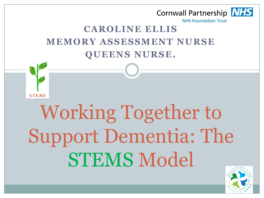

# Working Together to Support Dementia: The STEMS Model

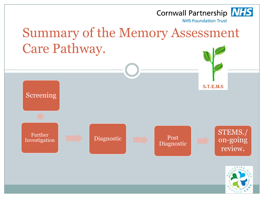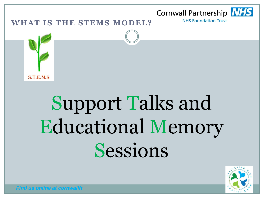

## Support Talks and Educational Memory Sessions

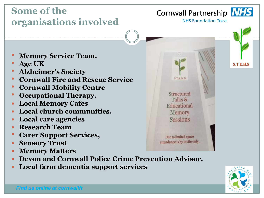### **Some of the organisations involved**

#### Cornwall Partnership NHS



**NHS Foundation Trust** 

- **Memory Service Team.**
- **Age UK**
- **Alzheimer's Society**
- **Cornwall Fire and Rescue Service**
- **Cornwall Mobility Centre**
- **Occupational Therapy.**
- **Local Memory Cafes**
- **Local church communities.**
- **Local care agencies**
- **Research Team**
- **Carer Support Services,**
- **Sensory Trust**
- **Memory Matters**
- **Devon and Cornwall Police Crime Prevention Advisor.**
- **Local farm dementia support services**



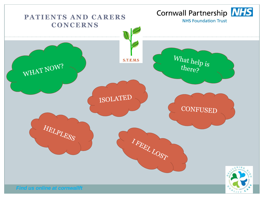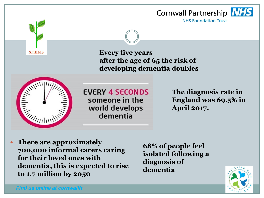

**S.T.E.M.S** 

**Every five years after the age of 65 the risk of developing dementia doubles**



**EVERY 4 SECONDS** someone in the world develops dementia

**The diagnosis rate in England was 69.5% in April 2017.**

 **There are approximately 700,000 informal carers caring for their loved ones with dementia, this is expected to rise to 1.7 million by 2050**

**68% of people feel isolated following a diagnosis of dementia**

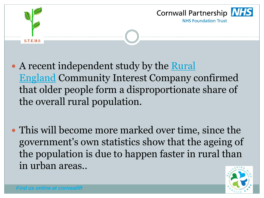

- A recent independent study by the Rural [England](http://www.ruralengland.org/) Community Interest Company confirmed that older people form a disproportionate share of the overall rural population.
- This will become more marked over time, since the government's own statistics show that the ageing of the population is due to happen faster in rural than in urban areas..

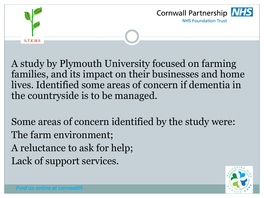

S.T.E.M.S



A study by Plymouth University focused on farming families, and its impact on their businesses and home lives. Identified some areas of concern if dementia in the countryside is to be managed.

Some areas of concern identified by the study were: The farm environment; A reluctance to ask for help; Lack of support services.

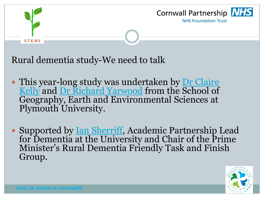



Rural dementia study-We need to talk

- This year-long study was undertaken by Dr Claire [Kelly](http://www.plymouth.ac.uk/staff/claire-kelly) and [Dr Richard Yarwood](http://www.plymouth.ac.uk/staff/richard-yarwood) from the School of Geography, Earth and Environmental Sciences at Plymouth University.
- Supported by <u>[Ian Sherriff](http://www.plymouth.ac.uk/staff/ian-sherriff)</u>, Academic Partnership Lead for Dementia at the University and Chair of the Prime Minister's Rural Dementia Friendly Task and Finish Group.

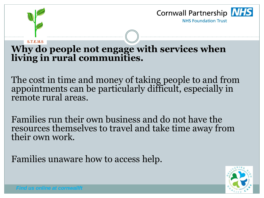

#### **S.T.E.M.S**

#### **Why do people not engage with services when living in rural communities.**

The cost in time and money of taking people to and from appointments can be particularly difficult, especially in remote rural areas.

Families run their own business and do not have the resources themselves to travel and take time away from their own work.

Families unaware how to access help.

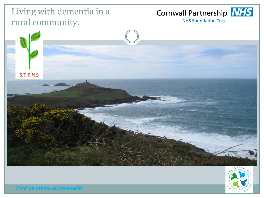#### Living with dementia in a rural community.

#### Cornwall Partnership NHS

**NHS Foundation Trust** 



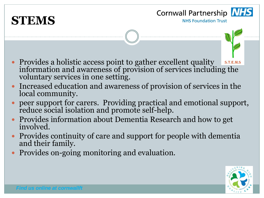



- Provides a holistic access point to gather excellent quality  $S.T.E.M.S$ information and awareness of provision of services including the voluntary services in one setting.
- Increased education and awareness of provision of services in the local community.
- peer support for carers. Providing practical and emotional support, reduce social isolation and promote self-help.
- Provides information about Dementia Research and how to get involved.
- Provides continuity of care and support for people with dementia and their family.
- Provides on-going monitoring and evaluation.

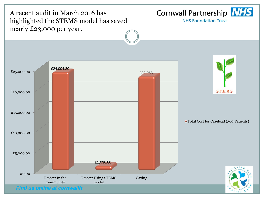Cornwall Partnership NHS A recent audit in March 2016 has highlighted the STEMS model has saved **NHS Foundation Trust** nearly £23,000 per year. £24,004.80 £25,000.00 £22,968 **S.T.E.M.S** £20,000.00 £15,000.00 **Total Cost for Caseload (360 Patients)** £10,000.00 £5,000.00 £1,036.80 £0.00 Review In the Review Using STEMS Saving Community model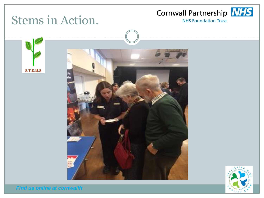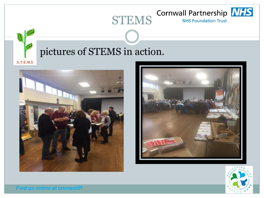





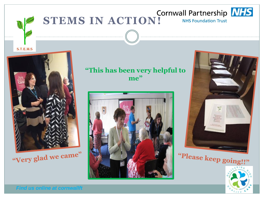#### **STEMS IN ACTION!** Cornwall Partnership **NHS NHS Foundation Trust**



"Very glad we came"

**"This has been very helpful to me"**





"Please keep going!!"

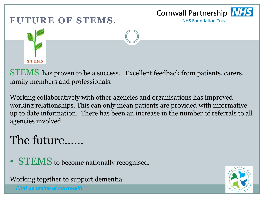

STEMS has proven to be a success. Excellent feedback from patients, carers, family members and professionals.

Working collaboratively with other agencies and organisations has improved working relationships. This can only mean patients are provided with informative up to date information. There has been an increase in the number of referrals to all agencies involved.

### The future......

• **STEMS** to become nationally recognised.

Working together to support dementia.

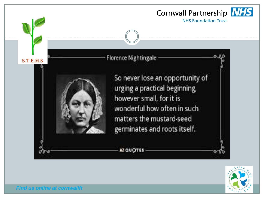

**Florence Nightingale** 



So never lose an opportunity of urging a practical beginning, however small, for it is wonderful how often in such matters the mustard-seed germinates and roots itself.

AZ QUOTES



*Find us online at cornwallft*

 $S.T.E.M.S$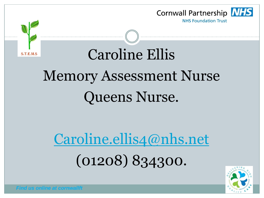